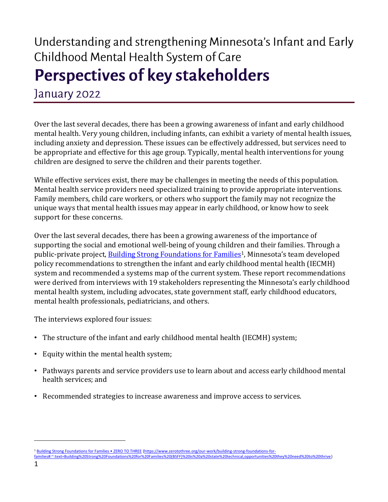# Understanding and strengthening Minnesota's Infant and Early Childhood Mental Health System of Care Perspectives of key stakeholders

January 2022

Over the last several decades, there has been a growing awareness of infant and early childhood mental health. Very young children, including infants, can exhibit a variety of mental health issues, including anxiety and depression. These issues can be effectively addressed, but services need to be appropriate and effective for this age group. Typically, mental health interventions for young children are designed to serve the children and their parents together.

While effective services exist, there may be challenges in meeting the needs of this population. Mental health service providers need specialized training to provide appropriate interventions. Family members, child care workers, or others who support the family may not recognize the unique ways that mental health issues may appear in early childhood, or know how to seek support for these concerns.

Over the last several decades, there has been a growing awareness of the importance of supporting the social and emotional well-being of young children and their families. Through a public-private project[, Building Strong Foundations for Families](https://www.zerotothree.org/our-work/building-strong-foundations-for-families#:~:text=Building%20Strong%20Foundations%20for%20Families%20(BSFF)%20is%20a%20state%20technical,opportunities%20they%20need%20to%20thrive)<sup>1</sup>, Minnesota's team developed policy recommendations to strengthen the infant and early childhood mental health (IECMH) system and recommended a systems map of the current system. These report recommendations were derived from interviews with 19 stakeholders representing the Minnesota's early childhood mental health system, including advocates, state government staff, early childhood educators, mental health professionals, pediatricians, and others.

The interviews explored four issues:

- The structure of the infant and early childhood mental health (IECMH) system;
- Equity within the mental health system;
- Pathways parents and service providers use to learn about and access early childhood mental health services; and
- Recommended strategies to increase awareness and improve access to services.

<sup>1</sup> [Building Strong Foundations for Families • ZERO TO THREE](https://www.zerotothree.org/our-work/building-strong-foundations-for-families#:~:text=Building%20Strong%20Foundations%20for%20Families%20(BSFF)%20is%20a%20state%20technical,opportunities%20they%20need%20to%20thrive) [\(https://www.zerotothree.org/our-work/building-strong-foundations-for-](https://www.zerotothree.org/our-work/building-strong-foundations-for-families#:~:text=Building%20Strong%20Foundations%20for%20Families%20(BSFF)%20is%20a%20state%20technical,opportunities%20they%20need%20to%20thrive)

[families#:~:text=Building%20Strong%20Foundations%20for%20Families%20\(BSFF\)%20is%20a%20state%20technical,opportunities%20they%20need%20to%20thrive\)](https://www.zerotothree.org/our-work/building-strong-foundations-for-families#:~:text=Building%20Strong%20Foundations%20for%20Families%20(BSFF)%20is%20a%20state%20technical,opportunities%20they%20need%20to%20thrive)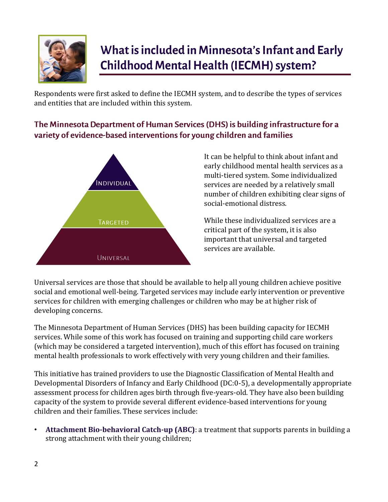

## What is included in Minnesota's Infant and Early **Childhood Mental Health (IECMH) system?**

Respondents were first asked to define the IECMH system, and to describe the types of services and entities that are included within this system.

### The Minnesota Department of Human Services (DHS) is building infrastructure for a variety of evidence-based interventions for young children and families



It can be helpful to think about infant and early childhood mental health services as a multi-tiered system. Some individualized services are needed by a relatively small number of children exhibiting clear signs of social-emotional distress.

While these individualized services are a critical part of the system, it is also important that universal and targeted services are available.

Universal services are those that should be available to help all young children achieve positive social and emotional well-being. Targeted services may include early intervention or preventive services for children with emerging challenges or children who may be at higher risk of developing concerns.

The Minnesota Department of Human Services (DHS) has been building capacity for IECMH services. While some of this work has focused on training and supporting child care workers (which may be considered a targeted intervention), much of this effort has focused on training mental health professionals to work effectively with very young children and their families.

This initiative has trained providers to use the Diagnostic Classification of Mental Health and Developmental Disorders of Infancy and Early Childhood (DC:0-5), a developmentally appropriate assessment process for children ages birth through five-years-old. They have also been building capacity of the system to provide several different evidence-based interventions for young children and their families. These services include:

• **Attachment Bio-behavioral Catch-up (ABC)**: a treatment that supports parents in building a strong attachment with their young children;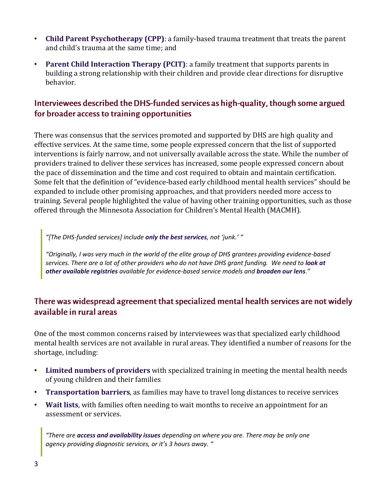- **Child Parent Psychotherapy (CPP)**: a family-based trauma treatment that treats the parent and child's trauma at the same time; and
- **Parent Child Interaction Therapy (PCIT)**: a family treatment that supports parents in building a strong relationship with their children and provide clear directions for disruptive behavior.

#### Interviewees described the DHS-funded services as high-quality, though some argued for broader access to training opportunities

There was consensus that the services promoted and supported by DHS are high quality and effective services. At the same time, some people expressed concern that the list of supported interventions is fairly narrow, and not universally available across the state. While the number of providers trained to deliver these services has increased, some people expressed concern about the pace of dissemination and the time and cost required to obtain and maintain certification. Some felt that the definition of "evidence-based early childhood mental health services" should be expanded to include other promising approaches, and that providers needed more access to training. Several people highlighted the value of having other training opportunities, such as those offered through the Minnesota Association for Children's Mental Health (MACMH).

*"[The DHS-funded services] include only the best services, not 'junk.' "*

*"Originally, I was very much in the world of the elite group of DHS grantees providing evidence-based services. There are a lot of other providers who do not have DHS grant funding. We need to look at other available registries available for evidence-based service models and broaden our lens."*

#### There was widespread agreement that specialized mental health services are not widely available in rural areas

One of the most common concerns raised by interviewees was that specialized early childhood mental health services are not available in rural areas. They identified a number of reasons for the shortage, including:

- **Limited numbers of providers** with specialized training in meeting the mental health needs of young children and their families
- **Transportation barriers**, as families may have to travel long distances to receive services
- **Wait lists**, with families often needing to wait months to receive an appointment for an assessment or services.

*"There are access and availability issues depending on where you are. There may be only one agency providing diagnostic services, or it's 3 hours away. "*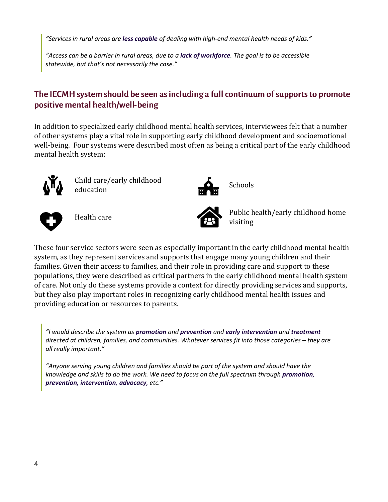*"Services in rural areas are less capable of dealing with high-end mental health needs of kids."*

*"Access can be a barrier in rural areas, due to a lack of workforce. The goal is to be accessible statewide, but that's not necessarily the case."*

#### The IECMH system should be seen as including a full continuum of supports to promote positive mental health/well-being

In addition to specialized early childhood mental health services, interviewees felt that a number of other systems play a vital role in supporting early childhood development and socioemotional well-being. Four systems were described most often as being a critical part of the early childhood mental health system:



Child care/early childhood<br>education  $\overrightarrow{H}$  Schools







Health care **Public health/early childhood home** visiting

These four service sectors were seen as especially important in the early childhood mental health system, as they represent services and supports that engage many young children and their families. Given their access to families, and their role in providing care and support to these populations, they were described as critical partners in the early childhood mental health system of care. Not only do these systems provide a context for directly providing services and supports, but they also play important roles in recognizing early childhood mental health issues and providing education or resources to parents.

*"I would describe the system as promotion and prevention and early intervention and treatment directed at children, families, and communities. Whatever services fit into those categories - they are all really important."*

*"Anyone serving young children and families should be part of the system and should have the knowledge and skills to do the work. We need to focus on the full spectrum through promotion, prevention, intervention, advocacy, etc."*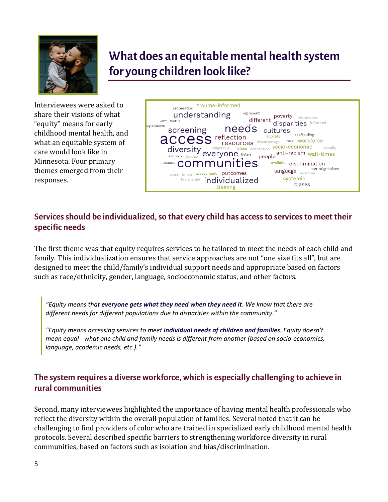

### What does an equitable mental health system for young children look like?

Interviewees were asked to share their visions of what "equity" means for early childhood mental health, and what an equitable system of care would look like in Minnesota. Four primary themes emerged from their responses.



#### Services should be individualized, so that every child has access to services to meet their specific needs

The first theme was that equity requires services to be tailored to meet the needs of each child and family. This individualization ensures that service approaches are not "one size fits all", but are designed to meet the child/family's individual support needs and appropriate based on factors such as race/ethnicity, gender, language, socioeconomic status, and other factors.

*"Equity means that everyone gets what they need when they need it. We know that there are different needs for different populations due to disparities within the community."*

*"Equity means accessing services to meet individual needs of children and families. Equity doesn't mean equal - what one child and family needs is different from another (based on socio-economics, language, academic needs, etc.)."*

#### The system requires a diverse workforce, which is especially challenging to achieve in rural communities

Second, many interviewees highlighted the importance of having mental health professionals who reflect the diversity within the overall population of families. Several noted that it can be challenging to find providers of color who are trained in specialized early childhood mental health protocols. Several described specific barriers to strengthening workforce diversity in rural communities, based on factors such as isolation and bias/discrimination.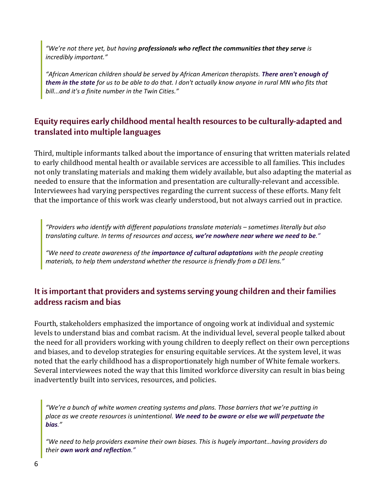*"We're not there yet, but having professionals who reflect the communities that they serve is incredibly important."*

*"African American children should be served by African American therapists. There aren't enough of them in the state for us to be able to do that. I don't actually know anyone in rural MN who fits that bill...and it's a finite number in the Twin Cities."*

#### Equity requires early childhood mental health resources to be culturally-adapted and translated into multiple languages

Third, multiple informants talked about the importance of ensuring that written materials related to early childhood mental health or available services are accessible to all families. This includes not only translating materials and making them widely available, but also adapting the material as needed to ensure that the information and presentation are culturally-relevant and accessible. Interviewees had varying perspectives regarding the current success of these efforts. Many felt that the importance of this work was clearly understood, but not always carried out in practice.

*"Providers who identify with different populations translate materials – sometimes literally but also translating culture. In terms of resources and access, we're nowhere near where we need to be."*

*"We need to create awareness of the importance of cultural adaptations with the people creating materials, to help them understand whether the resource is friendly from a DEI lens."*

#### It is important that providers and systems serving young children and their families address racism and bias

Fourth, stakeholders emphasized the importance of ongoing work at individual and systemic levels to understand bias and combat racism. At the individual level, several people talked about the need for all providers working with young children to deeply reflect on their own perceptions and biases, and to develop strategies for ensuring equitable services. At the system level, it was noted that the early childhood has a disproportionately high number of White female workers. Several interviewees noted the way that this limited workforce diversity can result in bias being inadvertently built into services, resources, and policies.

*"We're a bunch of white women creating systems and plans. Those barriers that we're putting in place as we create resources is unintentional. We need to be aware or else we will perpetuate the bias."*

*"We need to help providers examine their own biases. This is hugely important…having providers do their own work and reflection."*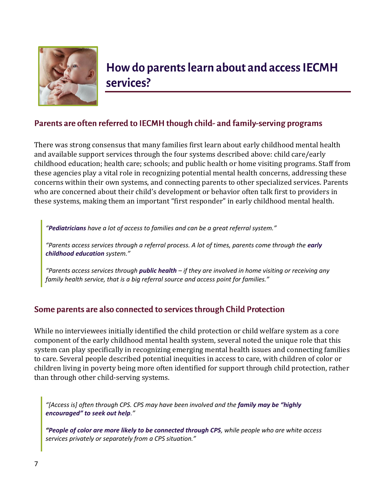

### How do parents learn about and access IECMH services?

#### Parents are often referred to IECMH though child- and family-serving programs

There was strong consensus that many families first learn about early childhood mental health and available support services through the four systems described above: child care/early childhood education; health care; schools; and public health or home visiting programs. Staff from these agencies play a vital role in recognizing potential mental health concerns, addressing these concerns within their own systems, and connecting parents to other specialized services. Parents who are concerned about their child's development or behavior often talk first to providers in these systems, making them an important "first responder" in early childhood mental health.

*"Pediatricians have a lot of access to families and can be a great referral system."*

*"Parents access services through a referral process. A lot of times, parents come through the early childhood education system."*

*"Parents access services through public health – if they are involved in home visiting or receiving any family health service, that is a big referral source and access point for families."*

#### Some parents are also connected to services through Child Protection

While no interviewees initially identified the child protection or child welfare system as a core component of the early childhood mental health system, several noted the unique role that this system can play specifically in recognizing emerging mental health issues and connecting families to care. Several people described potential inequities in access to care, with children of color or children living in poverty being more often identified for support through child protection, rather than through other child-serving systems.

"[Access is] often through CPS. CPS may have been involved and the *family may be "highly encouraged" to seek out help."*

*"People of color are more likely to be connected through CPS, while people who are white access services privately or separately from a CPS situation."*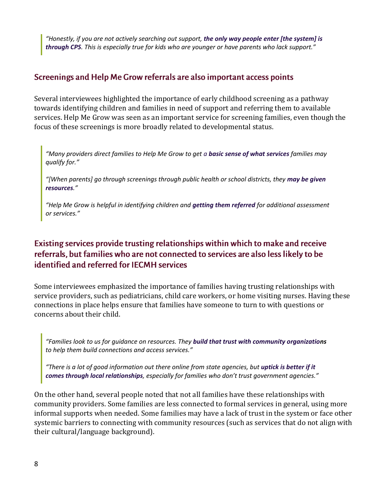*"Honestly, if you are not actively searching out support, the only way people enter [the system] is through CPS. This is especially true for kids who are younger or have parents who lack support."*

#### Screenings and Help Me Grow referrals are also important access points

Several interviewees highlighted the importance of early childhood screening as a pathway towards identifying children and families in need of support and referring them to available services. Help Me Grow was seen as an important service for screening families, even though the focus of these screenings is more broadly related to developmental status.

*"Many providers direct families to Help Me Grow to get a basic sense of what services families may qualify for."*

"[When parents] go through screenings through public health or school districts, they may be given *resources."*

*"Help Me Grow is helpful in identifying children and getting them referred for additional assessment or services."*

#### Existing services provide trusting relationships within which to make and receive referrals, but families who are not connected to services are also less likely to be identified and referred for IECMH services

Some interviewees emphasized the importance of families having trusting relationships with service providers, such as pediatricians, child care workers, or home visiting nurses. Having these connections in place helps ensure that families have someone to turn to with questions or concerns about their child.

*"Families look to us for guidance on resources. They build that trust with community organizations to help them build connections and access services."*

*"There is a lot of good information out there online from state agencies, but uptick is better if it comes through local relationships, especially for families who don't trust government agencies."*

On the other hand, several people noted that not all families have these relationships with community providers. Some families are less connected to formal services in general, using more informal supports when needed. Some families may have a lack of trust in the system or face other systemic barriers to connecting with community resources (such as services that do not align with their cultural/language background).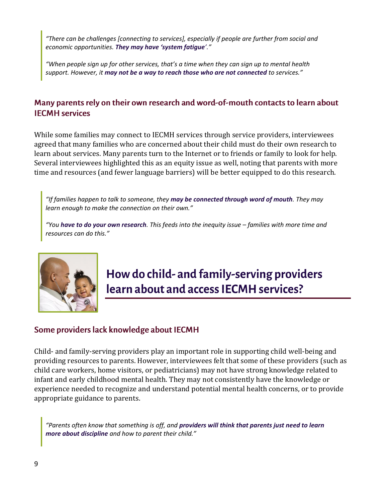*"There can be challenges [connecting to services], especially if people are further from social and economic opportunities. They may have 'system fatigue'."*

*"When people sign up for other services, that's a time when they can sign up to mental health support. However, it may not be a way to reach those who are not connected to services."*

#### Many parents rely on their own research and word-of-mouth contacts to learn about **IECMH** services

While some families may connect to IECMH services through service providers, interviewees agreed that many families who are concerned about their child must do their own research to learn about services. Many parents turn to the Internet or to friends or family to look for help. Several interviewees highlighted this as an equity issue as well, noting that parents with more time and resources (and fewer language barriers) will be better equipped to do this research.

*"If families happen to talk to someone, they may be connected through word of mouth. They may learn enough to make the connection on their own."*

*"You have to do your own research. This feeds into the inequity issue – families with more time and resources can do this."*



### How do child- and family-serving providers learn about and access IECMH services?

#### Some providers lack knowledge about IECMH

Child- and family-serving providers play an important role in supporting child well-being and providing resources to parents. However, interviewees felt that some of these providers (such as child care workers, home visitors, or pediatricians) may not have strong knowledge related to infant and early childhood mental health. They may not consistently have the knowledge or experience needed to recognize and understand potential mental health concerns, or to provide appropriate guidance to parents.

*"Parents often know that something is off, and providers will think that parents just need to learn more about discipline and how to parent their child."*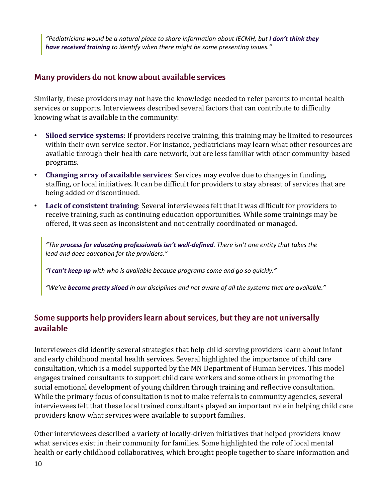*"Pediatricians would be a natural place to share information about IECMH, but I don't think they have received training to identify when there might be some presenting issues."*

#### Many providers do not know about available services

Similarly, these providers may not have the knowledge needed to refer parents to mental health services or supports. Interviewees described several factors that can contribute to difficulty knowing what is available in the community:

- **Siloed service systems**: If providers receive training, this training may be limited to resources within their own service sector. For instance, pediatricians may learn what other resources are available through their health care network, but are less familiar with other community-based programs.
- **Changing array of available services**: Services may evolve due to changes in funding, staffing, or local initiatives. It can be difficult for providers to stay abreast of services that are being added or discontinued.
- **Lack of consistent training**: Several interviewees felt that it was difficult for providers to receive training, such as continuing education opportunities. While some trainings may be offered, it was seen as inconsistent and not centrally coordinated or managed.

*"The process for educating professionals isn't well-defined. There isn't one entity that takes the lead and does education for the providers."*

*"I can't keep up with who is available because programs come and go so quickly."*

*"We've become pretty siloed in our disciplines and not aware of all the systems that are available."*

#### Some supports help providers learn about services, but they are not universally available

Interviewees did identify several strategies that help child-serving providers learn about infant and early childhood mental health services. Several highlighted the importance of child care consultation, which is a model supported by the MN Department of Human Services. This model engages trained consultants to support child care workers and some others in promoting the social emotional development of young children through training and reflective consultation. While the primary focus of consultation is not to make referrals to community agencies, several interviewees felt that these local trained consultants played an important role in helping child care providers know what services were available to support families.

Other interviewees described a variety of locally-driven initiatives that helped providers know what services exist in their community for families. Some highlighted the role of local mental health or early childhood collaboratives, which brought people together to share information and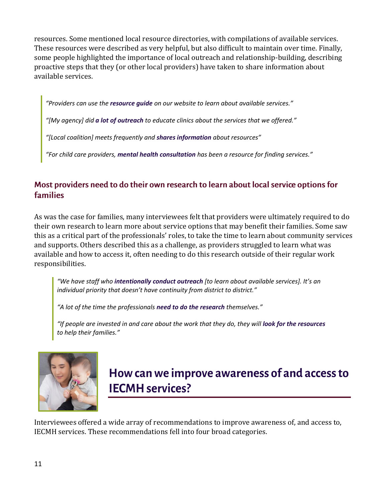resources. Some mentioned local resource directories, with compilations of available services. These resources were described as very helpful, but also difficult to maintain over time. Finally, some people highlighted the importance of local outreach and relationship-building, describing proactive steps that they (or other local providers) have taken to share information about available services.

*"Providers can use the resource guide on our website to learn about available services."*

*"[My agency] did a lot of outreach to educate clinics about the services that we offered."*

*"[Local coalition] meets frequently and shares information about resources"*

*"For child care providers, mental health consultation has been a resource for finding services."*

#### Most providers need to do their own research to learn about local service options for **families**

As was the case for families, many interviewees felt that providers were ultimately required to do their own research to learn more about service options that may benefit their families. Some saw this as a critical part of the professionals' roles, to take the time to learn about community services and supports. Others described this as a challenge, as providers struggled to learn what was available and how to access it, often needing to do this research outside of their regular work responsibilities.

*"We have staff who intentionally conduct outreach [to learn about available services]. It's an individual priority that doesn't have continuity from district to district."*

*"A lot of the time the professionals need to do the research themselves."*

"If people are invested in and care about the work that they do, they will **look for the resources** *to help their families."*



### How can we improve awareness of and access to **IECMH** services?

Interviewees offered a wide array of recommendations to improve awareness of, and access to, IECMH services. These recommendations fell into four broad categories.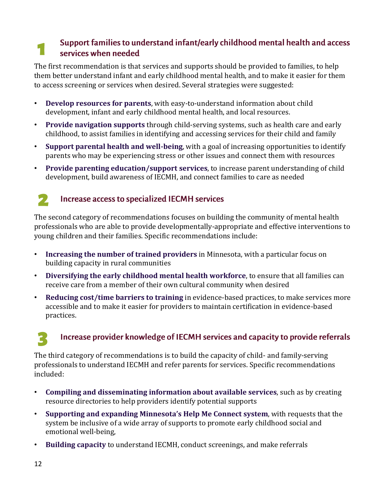#### Support families to understand infant/early childhood mental health and access  $\mathbf 1$ services when needed

The first recommendation is that services and supports should be provided to families, to help them better understand infant and early childhood mental health, and to make it easier for them to access screening or services when desired. Several strategies were suggested:

- **Develop resources for parents**, with easy-to-understand information about child development, infant and early childhood mental health, and local resources.
- **Provide navigation supports** through child-serving systems, such as health care and early childhood, to assist families in identifying and accessing services for their child and family
- **Support parental health and well-being**, with a goal of increasing opportunities to identify parents who may be experiencing stress or other issues and connect them with resources
- **Provide parenting education/support services**, to increase parent understanding of child development, build awareness of IECMH, and connect families to care as needed



#### Increase access to specialized IECMH services

The second category of recommendations focuses on building the community of mental health professionals who are able to provide developmentally-appropriate and effective interventions to young children and their families. Specific recommendations include:

- **Increasing the number of trained providers** in Minnesota, with a particular focus on building capacity in rural communities
- **Diversifying the early childhood mental health workforce**, to ensure that all families can receive care from a member of their own cultural community when desired
- **Reducing cost/time barriers to training** in evidence-based practices, to make services more accessible and to make it easier for providers to maintain certification in evidence-based practices.

### Increase provider knowledge of IECMH services and capacity to provide referrals

The third category of recommendations is to build the capacity of child- and family-serving professionals to understand IECMH and refer parents for services. Specific recommendations included:

- **Compiling and disseminating information about available services**, such as by creating resource directories to help providers identify potential supports
- **Supporting and expanding Minnesota's Help Me Connect system**, with requests that the system be inclusive of a wide array of supports to promote early childhood social and emotional well-being,
- **Building capacity** to understand IECMH, conduct screenings, and make referrals